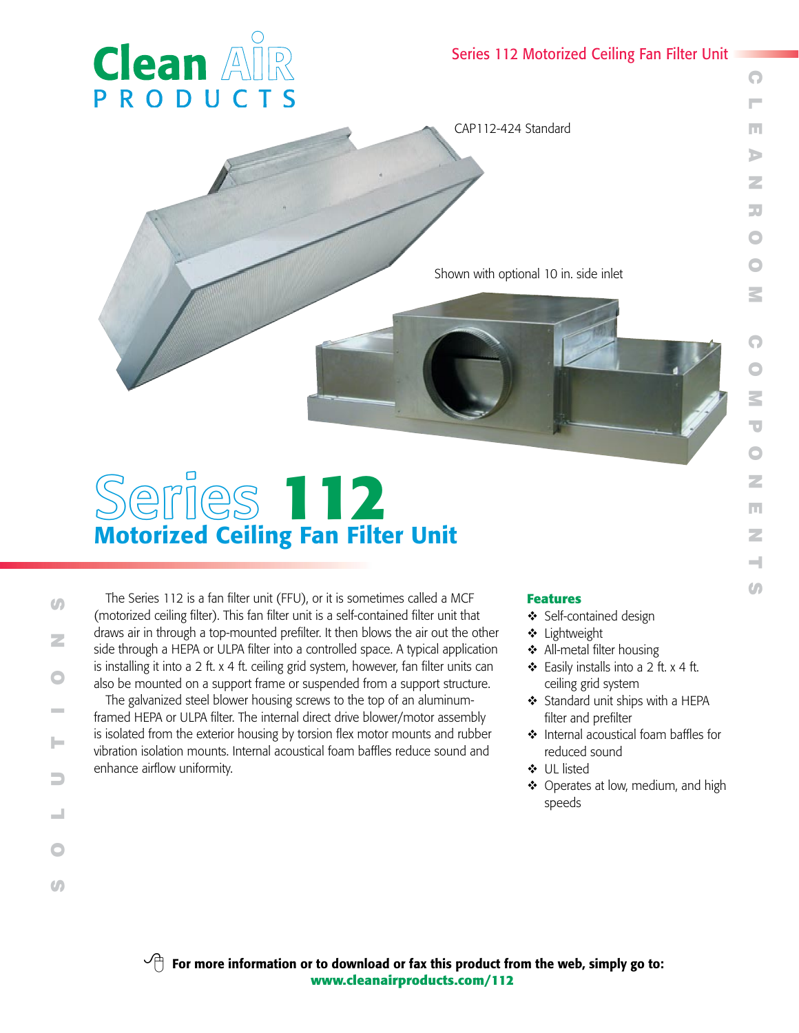## Series 112 Motorized Ceiling Fan Filter Unit

 $\bigcirc$  L $\Box$ A

O

O

 $\mathbf \Omega$ 

O

P

O

N

E

N

 $\overline{\phantom{0}}$  $\overline{S}$ 



CAP112-424 Standard

Shown with optional 10 in. side inlet

# Series **112** Motorized Ceiling Fan Filter Unit

The Series 112 is a fan filter unit (FFU), or it is sometimes called a MCF (motorized ceiling filter). This fan filter unit is a self-contained filter unit that draws air in through a top-mounted prefilter. It then blows the air out the other side through a HEPA or ULPA filter into a controlled space. A typical application is installing it into a 2 ft. x 4 ft. ceiling grid system, however, fan filter units can also be mounted on a support frame or suspended from a support structure.

The galvanized steel blower housing screws to the top of an aluminumframed HEPA or ULPA filter. The internal direct drive blower/motor assembly is isolated from the exterior housing by torsion flex motor mounts and rubber vibration isolation mounts. Internal acoustical foam baffles reduce sound and enhance airflow uniformity.

### **Features**

- ❖ Self-contained design
- $\triangleleft$  Lightweight
- $\triangleleft$  All-metal filter housing
- $\div$  Easily installs into a 2 ft. x 4 ft. ceiling grid system
- Standard unit ships with a HEPA filter and prefilter
- $\cdot$  Internal acoustical foam baffles for reduced sound
- **↓** UL listed
- $\triangleleft$  Operates at low, medium, and high speeds